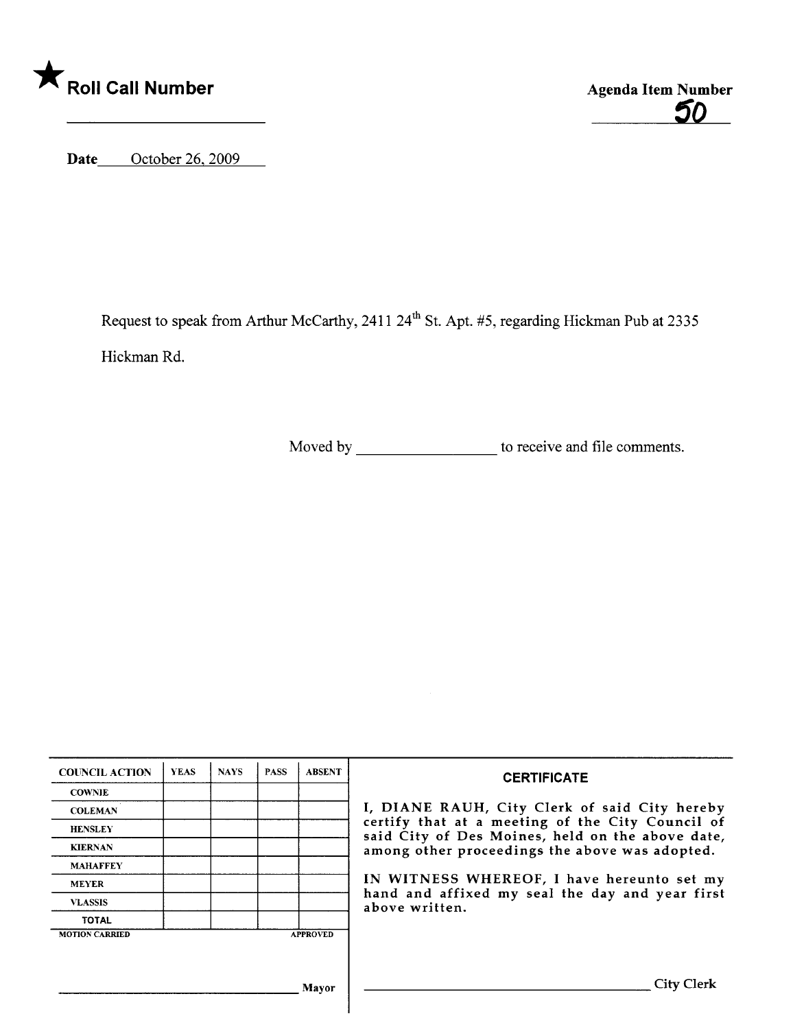

50

Date October 26, 2009

Request to speak from Arthur McCarthy, 2411 24<sup>th</sup> St. Apt. #5, regarding Hickman Pub at 2335 Hickman Rd.

Moved by \_\_\_\_\_\_\_\_\_\_\_\_\_\_\_\_\_\_\_\_\_ to receive and file comments.

| <b>COUNCIL ACTION</b> | <b>YEAS</b> | <b>NAYS</b> | <b>PASS</b> | <b>ABSENT</b>   | <b>CERTIFICATE</b>                                                                                                                                                                                                                                                                                                         |
|-----------------------|-------------|-------------|-------------|-----------------|----------------------------------------------------------------------------------------------------------------------------------------------------------------------------------------------------------------------------------------------------------------------------------------------------------------------------|
| <b>COWNIE</b>         |             |             |             |                 | I, DIANE RAUH, City Clerk of said City hereby<br>certify that at a meeting of the City Council of<br>said City of Des Moines, held on the above date,<br>among other proceedings the above was adopted.<br>IN WITNESS WHEREOF, I have hereunto set my<br>hand and affixed my seal the day and year first<br>above written. |
| <b>COLEMAN</b>        |             |             |             |                 |                                                                                                                                                                                                                                                                                                                            |
| <b>HENSLEY</b>        |             |             |             |                 |                                                                                                                                                                                                                                                                                                                            |
| <b>KIERNAN</b>        |             |             |             |                 |                                                                                                                                                                                                                                                                                                                            |
| <b>MAHAFFEY</b>       |             |             |             |                 |                                                                                                                                                                                                                                                                                                                            |
| <b>MEYER</b>          |             |             |             |                 |                                                                                                                                                                                                                                                                                                                            |
| <b>VLASSIS</b>        |             |             |             |                 |                                                                                                                                                                                                                                                                                                                            |
| <b>TOTAL</b>          |             |             |             |                 |                                                                                                                                                                                                                                                                                                                            |
| <b>MOTION CARRIED</b> |             |             |             | <b>APPROVED</b> |                                                                                                                                                                                                                                                                                                                            |
|                       |             |             |             |                 |                                                                                                                                                                                                                                                                                                                            |
|                       |             |             |             | Mayor           | <b>City Clerk</b>                                                                                                                                                                                                                                                                                                          |